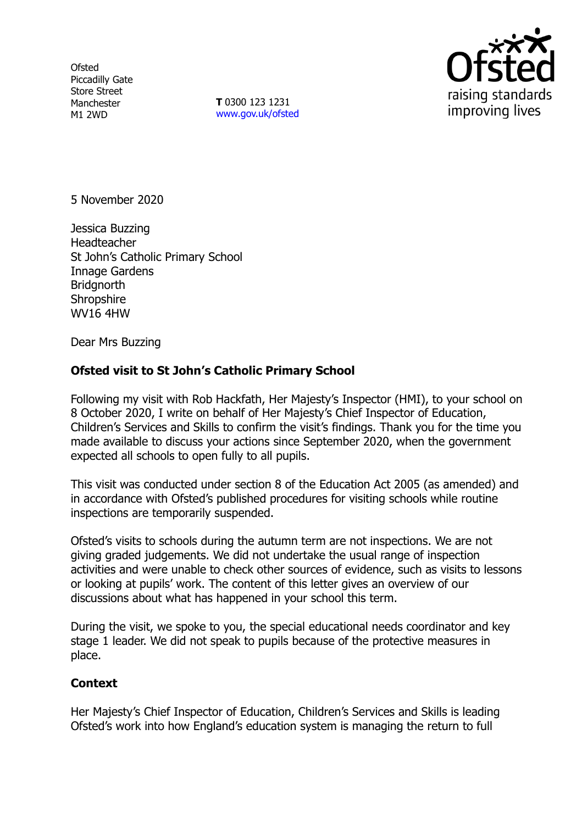**Ofsted** Piccadilly Gate Store Street Manchester M1 2WD

**T** 0300 123 1231 [www.gov.uk/ofsted](http://www.gov.uk/ofsted)



5 November 2020

Jessica Buzzing Headteacher St John's Catholic Primary School Innage Gardens **Bridgnorth Shropshire** WV16 4HW

Dear Mrs Buzzing

## **Ofsted visit to St John's Catholic Primary School**

Following my visit with Rob Hackfath, Her Majesty's Inspector (HMI), to your school on 8 October 2020, I write on behalf of Her Majesty's Chief Inspector of Education, Children's Services and Skills to confirm the visit's findings. Thank you for the time you made available to discuss your actions since September 2020, when the government expected all schools to open fully to all pupils.

This visit was conducted under section 8 of the Education Act 2005 (as amended) and in accordance with Ofsted's published procedures for visiting schools while routine inspections are temporarily suspended.

Ofsted's visits to schools during the autumn term are not inspections. We are not giving graded judgements. We did not undertake the usual range of inspection activities and were unable to check other sources of evidence, such as visits to lessons or looking at pupils' work. The content of this letter gives an overview of our discussions about what has happened in your school this term.

During the visit, we spoke to you, the special educational needs coordinator and key stage 1 leader. We did not speak to pupils because of the protective measures in place.

## **Context**

Her Majesty's Chief Inspector of Education, Children's Services and Skills is leading Ofsted's work into how England's education system is managing the return to full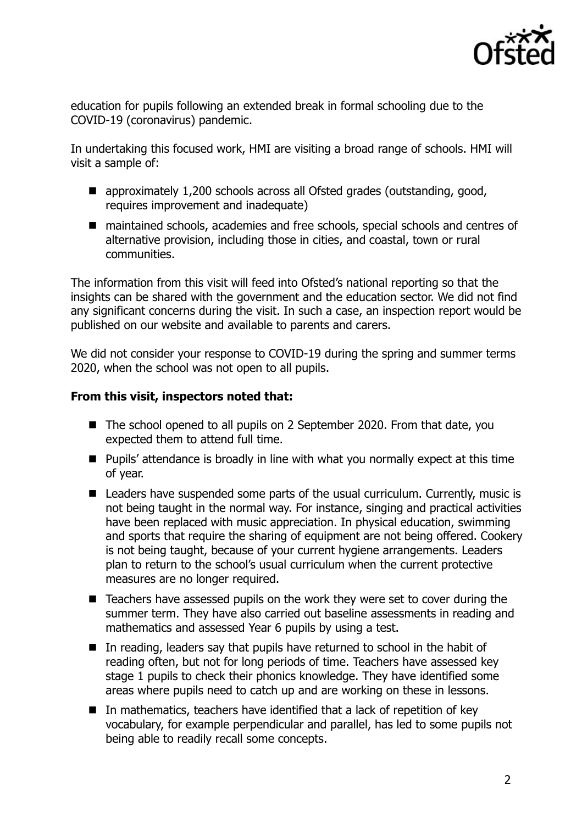

education for pupils following an extended break in formal schooling due to the COVID-19 (coronavirus) pandemic.

In undertaking this focused work, HMI are visiting a broad range of schools. HMI will visit a sample of:

- approximately 1,200 schools across all Ofsted grades (outstanding, good, requires improvement and inadequate)
- maintained schools, academies and free schools, special schools and centres of alternative provision, including those in cities, and coastal, town or rural communities.

The information from this visit will feed into Ofsted's national reporting so that the insights can be shared with the government and the education sector. We did not find any significant concerns during the visit. In such a case, an inspection report would be published on our website and available to parents and carers.

We did not consider your response to COVID-19 during the spring and summer terms 2020, when the school was not open to all pupils.

## **From this visit, inspectors noted that:**

- The school opened to all pupils on 2 September 2020. From that date, you expected them to attend full time.
- **Pupils' attendance is broadly in line with what you normally expect at this time** of year.
- Leaders have suspended some parts of the usual curriculum. Currently, music is not being taught in the normal way. For instance, singing and practical activities have been replaced with music appreciation. In physical education, swimming and sports that require the sharing of equipment are not being offered. Cookery is not being taught, because of your current hygiene arrangements. Leaders plan to return to the school's usual curriculum when the current protective measures are no longer required.
- Teachers have assessed pupils on the work they were set to cover during the summer term. They have also carried out baseline assessments in reading and mathematics and assessed Year 6 pupils by using a test.
- In reading, leaders say that pupils have returned to school in the habit of reading often, but not for long periods of time. Teachers have assessed key stage 1 pupils to check their phonics knowledge. They have identified some areas where pupils need to catch up and are working on these in lessons.
- $\blacksquare$  In mathematics, teachers have identified that a lack of repetition of key vocabulary, for example perpendicular and parallel, has led to some pupils not being able to readily recall some concepts.